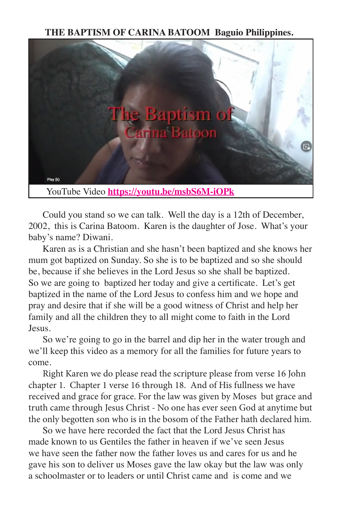**THE BAPTISM OF CARINA BATOOM Baguio Philippines.**



Could you stand so we can talk. Well the day is a 12th of December, 2002, this is Carina Batoom. Karen is the daughter of Jose. What's your baby's name? Diwani.

Karen as is a Christian and she hasn't been baptized and she knows her mum got baptized on Sunday. So she is to be baptized and so she should be, because if she believes in the Lord Jesus so she shall be baptized. So we are going to baptized her today and give a certificate. Let's get baptized in the name of the Lord Jesus to confess him and we hope and pray and desire that if she will be a good witness of Christ and help her family and all the children they to all might come to faith in the Lord Jesus.

So we're going to go in the barrel and dip her in the water trough and we'll keep this video as a memory for all the families for future years to come.

Right Karen we do please read the scripture please from verse 16 John chapter 1. Chapter 1 verse 16 through 18. And of His fullness we have received and grace for grace. For the law was given by Moses but grace and truth came through Jesus Christ - No one has ever seen God at anytime but the only begotten son who is in the bosom of the Father hath declared him.

So we have here recorded the fact that the Lord Jesus Christ has made known to us Gentiles the father in heaven if we've seen Jesus we have seen the father now the father loves us and cares for us and he gave his son to deliver us Moses gave the law okay but the law was only a schoolmaster or to leaders or until Christ came and is come and we